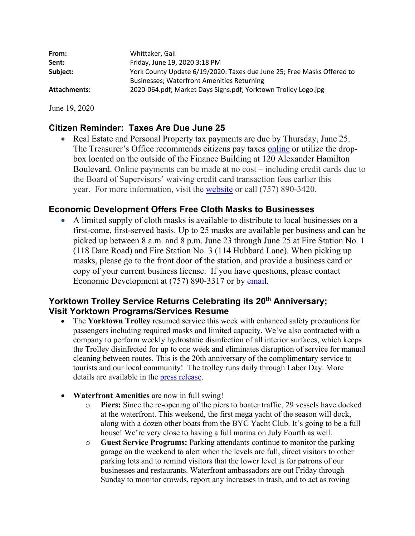| From:               | Whittaker, Gail                                                        |
|---------------------|------------------------------------------------------------------------|
| Sent:               | Friday, June 19, 2020 3:18 PM                                          |
| Subject:            | York County Update 6/19/2020: Taxes due June 25; Free Masks Offered to |
|                     | <b>Businesses: Waterfront Amenities Returning</b>                      |
| <b>Attachments:</b> | 2020-064.pdf; Market Days Signs.pdf; Yorktown Trolley Logo.jpg         |

June 19, 2020

#### **Citizen Reminder: Taxes Are Due June 25**

• Real Estate and Personal Property tax payments are due by Thursday, June 25. The Treasurer's Office recommends citizens pay taxes online or utilize the dropbox located on the outside of the Finance Building at 120 Alexander Hamilton Boulevard. Online payments can be made at no cost – including credit cards due to the Board of Supervisors' waiving credit card transaction fees earlier this year. For more information, visit the website or call (757) 890-3420.

#### **Economic Development Offers Free Cloth Masks to Businesses**

 A limited supply of cloth masks is available to distribute to local businesses on a first-come, first-served basis. Up to 25 masks are available per business and can be picked up between 8 a.m. and 8 p.m. June 23 through June 25 at Fire Station No. 1 (118 Dare Road) and Fire Station No. 3 (114 Hubbard Lane). When picking up masks, please go to the front door of the station, and provide a business card or copy of your current business license. If you have questions, please contact Economic Development at (757) 890-3317 or by email.

#### Yorktown Trolley Service Returns Celebrating its 20<sup>th</sup> Anniversary; **Visit Yorktown Programs/Services Resume**

- The **Yorktown Trolley** resumed service this week with enhanced safety precautions for passengers including required masks and limited capacity. We've also contracted with a company to perform weekly hydrostatic disinfection of all interior surfaces, which keeps the Trolley disinfected for up to one week and eliminates disruption of service for manual cleaning between routes. This is the 20th anniversary of the complimentary service to tourists and our local community! The trolley runs daily through Labor Day. More details are available in the press release.
- **Waterfront Amenities** are now in full swing!
	- o **Piers:** Since the re-opening of the piers to boater traffic, 29 vessels have docked at the waterfront. This weekend, the first mega yacht of the season will dock, along with a dozen other boats from the BYC Yacht Club. It's going to be a full house! We're very close to having a full marina on July Fourth as well.
	- o **Guest Service Programs:** Parking attendants continue to monitor the parking garage on the weekend to alert when the levels are full, direct visitors to other parking lots and to remind visitors that the lower level is for patrons of our businesses and restaurants. Waterfront ambassadors are out Friday through Sunday to monitor crowds, report any increases in trash, and to act as roving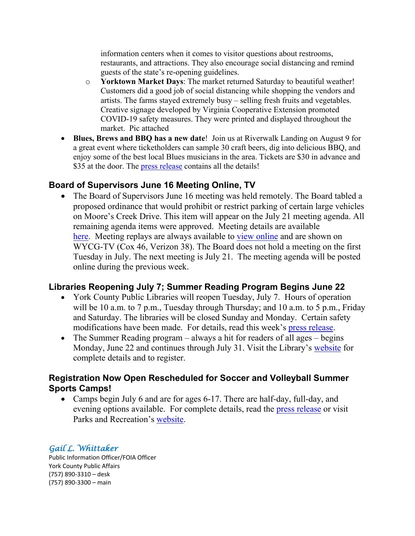information centers when it comes to visitor questions about restrooms, restaurants, and attractions. They also encourage social distancing and remind guests of the state's re-opening guidelines.

- o **Yorktown Market Days**: The market returned Saturday to beautiful weather! Customers did a good job of social distancing while shopping the vendors and artists. The farms stayed extremely busy – selling fresh fruits and vegetables. Creative signage developed by Virginia Cooperative Extension promoted COVID-19 safety measures. They were printed and displayed throughout the market. Pic attached
- **Blues, Brews and BBQ has a new date**! Join us at Riverwalk Landing on August 9 for a great event where ticketholders can sample 30 craft beers, dig into delicious BBQ, and enjoy some of the best local Blues musicians in the area. Tickets are \$30 in advance and \$35 at the door. The press release contains all the details!

#### **Board of Supervisors June 16 Meeting Online, TV**

 The Board of Supervisors June 16 meeting was held remotely. The Board tabled a proposed ordinance that would prohibit or restrict parking of certain large vehicles on Moore's Creek Drive. This item will appear on the July 21 meeting agenda. All remaining agenda items were approved. Meeting details are available here. Meeting replays are always available to view online and are shown on WYCG-TV (Cox 46, Verizon 38). The Board does not hold a meeting on the first Tuesday in July. The next meeting is July 21. The meeting agenda will be posted online during the previous week.

#### **Libraries Reopening July 7; Summer Reading Program Begins June 22**

- York County Public Libraries will reopen Tuesday, July 7. Hours of operation will be 10 a.m. to 7 p.m., Tuesday through Thursday; and 10 a.m. to 5 p.m., Friday and Saturday. The libraries will be closed Sunday and Monday. Certain safety modifications have been made. For details, read this week's press release.
- The Summer Reading program  $-$  always a hit for readers of all ages  $-$  begins Monday, June 22 and continues through July 31. Visit the Library's website for complete details and to register.

#### **Registration Now Open Rescheduled for Soccer and Volleyball Summer Sports Camps!**

• Camps begin July 6 and are for ages 6-17. There are half-day, full-day, and evening options available. For complete details, read the press release or visit Parks and Recreation's website.

#### *Gail L. Whittaker*

Public Information Officer/FOIA Officer York County Public Affairs (757) 890‐3310 – desk (757) 890‐3300 – main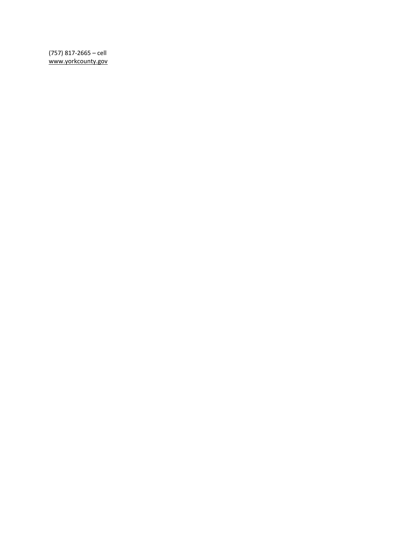(757) 817-2665 - cell www.yorkcounty.gov